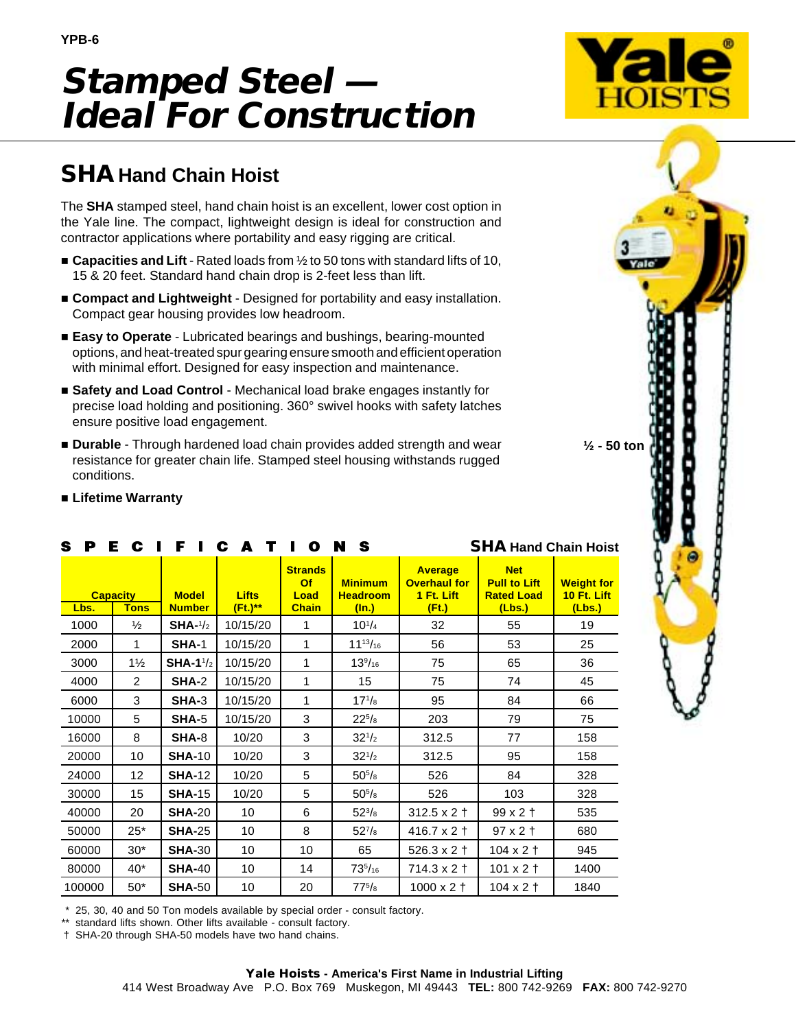## **Stamped Steel — Ideal For Construction**



## **SHAHand Chain Hoist**

The **SHA** stamped steel, hand chain hoist is an excellent, lower cost option in the Yale line. The compact, lightweight design is ideal for construction and contractor applications where portability and easy rigging are critical.

- **Capacities and Lift** Rated loads from ½ to 50 tons with standard lifts of 10, 15 & 20 feet. Standard hand chain drop is 2-feet less than lift.
- **Compact and Lightweight** Designed for portability and easy installation. Compact gear housing provides low headroom.
- **Easy to Operate**  Lubricated bearings and bushings, bearing-mounted options, and heat-treated spur gearing ensure smooth and efficient operation with minimal effort. Designed for easy inspection and maintenance.
- Safety and Load Control Mechanical load brake engages instantly for precise load holding and positioning. 360° swivel hooks with safety latches ensure positive load engagement.
- **Durable** Through hardened load chain provides added strength and wear resistance for greater chain life. Stamped steel housing withstands rugged conditions.



## **Lifetime Warranty**

| S.<br>P                                |                   |                               | E C I F I C A T I       | $\bullet$ | N S                                           | <b>SHA Hand Chain Hoist</b>                                  |                                                                  |                                            |  |  |
|----------------------------------------|-------------------|-------------------------------|-------------------------|-----------|-----------------------------------------------|--------------------------------------------------------------|------------------------------------------------------------------|--------------------------------------------|--|--|
| <b>Capacity</b><br><b>Tons</b><br>Lbs. |                   | <b>Model</b><br><b>Number</b> | <b>Lifts</b><br>(Ft.)** |           | <b>Minimum</b><br><b>Headroom</b><br>$(\ln.)$ | <b>Average</b><br><b>Overhaul for</b><br>1 Ft. Lift<br>(Ft.) | <b>Net</b><br><b>Pull to Lift</b><br><b>Rated Load</b><br>(Lbs.) | <b>Weight for</b><br>10 Ft. Lift<br>(Lbs.) |  |  |
| 1000                                   | $\frac{1}{2}$     | $SHA-1/2$                     | 10/15/20                | 1         | $10^{1/4}$                                    | 32                                                           | 55                                                               | 19                                         |  |  |
| 2000                                   | 1                 | <b>SHA-1</b>                  | 10/15/20                | 1         | $11^{13}/_{16}$                               | 56                                                           | 53                                                               | 25                                         |  |  |
| 3000                                   | $1\frac{1}{2}$    | SHA-1 $\frac{1}{2}$           | 10/15/20                | 1         | $13\frac{9}{16}$                              | 75                                                           | 65                                                               | 36                                         |  |  |
| 4000                                   | $\overline{2}$    | <b>SHA-2</b>                  | 10/15/20                | 1         | 15                                            | 75                                                           | 74                                                               | 45                                         |  |  |
| 6000                                   | 3                 | <b>SHA-3</b>                  | 10/15/20                | 1         | $17^{1}/_8$                                   | 95                                                           | 84                                                               | 66                                         |  |  |
| 10000                                  | 5                 | SHA-5                         | 10/15/20                | 3         | $22^{5}/8$                                    | 203                                                          | 79                                                               | 75                                         |  |  |
| 16000                                  | 8                 | SHA-8                         | 10/20                   | 3         | $32^{1/2}$                                    | 312.5                                                        | 77                                                               | 158                                        |  |  |
| 20000                                  | 10                | <b>SHA-10</b>                 | 10/20                   | 3         | $32^{1/2}$                                    | 312.5                                                        | 95                                                               | 158                                        |  |  |
| 24000                                  | $12 \overline{ }$ | <b>SHA-12</b>                 | 10/20                   | 5         | $50^{5}/\mathrm{s}$                           | 526                                                          | 84                                                               | 328                                        |  |  |
| 30000                                  | 15                | <b>SHA-15</b>                 | 10/20                   | 5         | $50^{5}/\mathrm{s}$                           | 526                                                          | 103                                                              | 328                                        |  |  |
| 40000                                  | 20                | <b>SHA-20</b>                 | 10                      | 6         | $52^{3}/8$                                    | $312.5 \times 2 +$                                           | $99x2$ †                                                         | 535                                        |  |  |
| 50000                                  | $25*$             | <b>SHA-25</b><br>10           |                         | 8         | $52^{7}/8$                                    | $416.7 \times 2 +$                                           | $97 \times 2 \text{ +}$                                          | 680                                        |  |  |
| 60000                                  | $30*$             | <b>SHA-30</b><br>10           |                         | 10        | 65                                            | $526.3 \times 2 +$                                           | $104 \times 2 +$                                                 | 945                                        |  |  |
| 80000                                  | $40*$             | <b>SHA-40</b>                 | 10                      |           | $73^{5}/_{16}$                                | $714.3 \times 2 +$                                           | $101 \times 2 +$                                                 | 1400                                       |  |  |
| 100000                                 | $50*$             | <b>SHA-50</b><br>10           |                         | 20        | $77^{5}/_8$                                   | $1000 \times 2 +$<br>$104 \times 2 \uparrow$                 |                                                                  | 1840                                       |  |  |

\* 25, 30, 40 and 50 Ton models available by special order - consult factory.

standard lifts shown. Other lifts available - consult factory.

† SHA-20 through SHA-50 models have two hand chains.